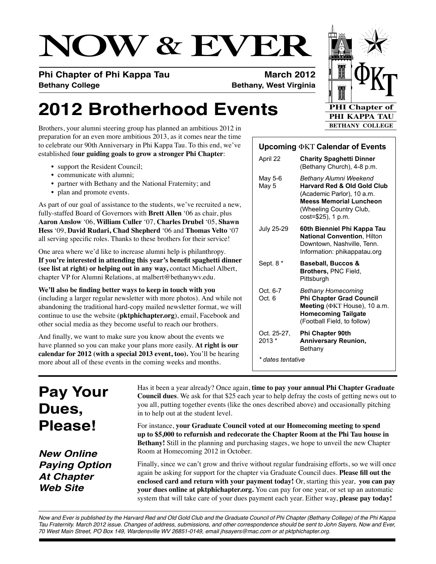# **NOW & EVER**

**Phi Chapter of Phi Kappa Tau <b>March 2012 Bethany College Bethany, West Virginia**

## **2012 Brotherhood Events**

Brothers, your alumni steering group has planned an ambitious 2012 in preparation for an even more ambitious 2013, as it comes near the time to celebrate our 90th Anniversary in Phi Kappa Tau. To this end, we've established f**our guiding goals to grow a stronger Phi Chapter**:

- support the Resident Council;
- • communicate with alumni;
- partner with Bethany and the National Fraternity; and
- plan and promote events.

As part of our goal of assistance to the students, we've recruited a new, fully-staffed Board of Governors with **Brett Allen** '06 as chair, plus **Aaron Anslow** '06, **William Culler** '07, **Charles Drubel** '05, **Shawn Hess** '09, **David Rudari, Chad Shepherd** '06 and **Thomas Velto** '07 all serving specific roles. Thanks to these brothers for their service!

One area where we'd like to increase alumni help is philanthropy. **If you're interested in attending this year's benefit spaghetti dinner (see list at right) or helping out in any way,** contact Michael Albert, chapter VP for Alumni Relations, at malbert@bethanywv.edu.

**We'll also be finding better ways to keep in touch with you**  (including a larger regular newsletter with more photos). And while not abandoning the traditional hard-copy mailed newsletter format, we will continue to use the website (**pktphichapter.org**), email, Facebook and other social media as they become useful to reach our brothers.

And finally, we want to make sure you know about the events we have planned so you can make your plans more easily. **At right is our calendar for 2012 (with a special 2013 event, too).** You'll be hearing more about all of these events in the coming weeks and months.

**Upcoming** FKT **Calendar of Events**

| $\alpha$ opcoming $\alpha$ <sub>Ni</sub> calendar of Events |                                                                                                                                                                                   |
|-------------------------------------------------------------|-----------------------------------------------------------------------------------------------------------------------------------------------------------------------------------|
| April 22                                                    | <b>Charity Spaghetti Dinner</b><br>(Bethany Church), 4-8 p.m.                                                                                                                     |
| May 5-6<br>May 5                                            | Bethany Alumni Weekend<br><b>Harvard Red &amp; Old Gold Club</b><br>(Academic Parlor), 10 a.m.<br><b>Meess Memorial Luncheon</b><br>(Wheeling Country Club,<br>cost=\$25), 1 p.m. |
| July 25-29                                                  | 60th Bienniel Phi Kappa Tau<br><b>National Convention, Hilton</b><br>Downtown, Nashville, Tenn.<br>Information: phikappatau.org                                                   |
| Sept. 8 *                                                   | <b>Baseball, Buccos &amp;</b><br>Brothers, PNC Field,<br>Pittsburgh                                                                                                               |
| Oct. 6-7<br>Oct. 6                                          | Bethany Homecoming<br><b>Phi Chapter Grad Council</b><br>Meeting ( $\Phi$ KT House), 10 a.m.<br><b>Homecoming Tailgate</b><br>(Football Field, to follow)                         |
| Oct. 25-27.<br>$2013*$                                      | <b>Phi Chapter 90th</b><br><b>Anniversary Reunion,</b><br>Bethany                                                                                                                 |
| * dates tentative                                           |                                                                                                                                                                                   |

## **Pay Your Dues, Please!**

Has it been a year already? Once again, **time to pay your annual Phi Chapter Graduate Council dues**. We ask for that \$25 each year to help defray the costs of getting news out to you all, putting together events (like the ones described above) and occasionally pitching in to help out at the student level.

For instance, **your Graduate Council voted at our Homecoming meeting to spend up to \$5,000 to refurnish and redecorate the Chapter Room at the Phi Tau house in Bethany!** Still in the planning and purchasing stages, we hope to unveil the new Chapter Room at Homecoming 2012 in October.

*New Online Paying Option At Chapter Web Site*

Finally, since we can't grow and thrive without regular fundraising efforts, so we will once again be asking for support for the chapter via Graduate Council dues. **Please fill out the enclosed card and return with your payment today!** Or, starting this year, **you can pay your dues online at pktphichapter.org.** You can pay for one year, or set up an automatic system that will take care of your dues payment each year. Either way, **please pay today!**

*Now and Ever is published by the Harvard Red and Old Gold Club and the Graduate Council of Phi Chapter (Bethany College) of the Phi Kappa Tau Fraternity. March 2012 issue. Changes of address, submissions, and other correspondence should be sent to John Sayers, Now and Ever, 70 West Main Street, PO Box 149, Wardensville WV 26851-0149, email jhsayers@mac.com or at pktphichapter.org.*